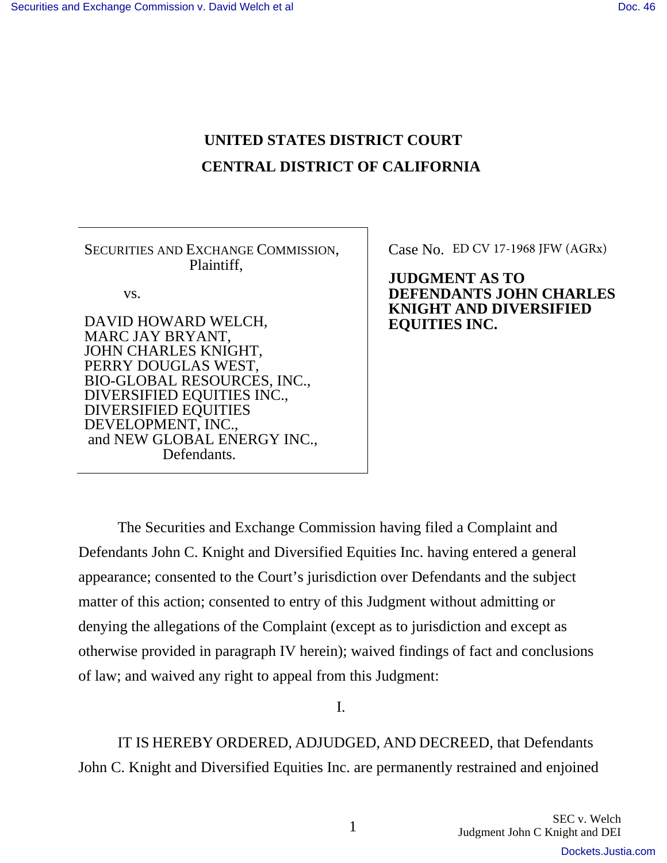# **UNITED STATES DISTRICT COURT CENTRAL DISTRICT OF CALIFORNIA**

SECURITIES AND EXCHANGE COMMISSION, Plaintiff,

vs.

DAVID HOWARD WELCH, MARC JAY BRYANT, JOHN CHARLES KNIGHT, PERRY DOUGLAS WEST, BIO-GLOBAL RESOURCES, INC., DIVERSIFIED EQUITIES INC., DIVERSIFIED EQUITIES DEVELOPMENT, INC., and NEW GLOBAL ENERGY INC., Defendants.

Case No. ED CV 17-1968 JFW (AGRx)

**JUDGMENT AS TO DEFENDANTS JOHN CHARLES KNIGHT AND DIVERSIFIED EQUITIES INC.** 

The Securities and Exchange Commission having filed a Complaint and Defendants John C. Knight and Diversified Equities Inc. having entered a general appearance; consented to the Court's jurisdiction over Defendants and the subject matter of this action; consented to entry of this Judgment without admitting or denying the allegations of the Complaint (except as to jurisdiction and except as otherwise provided in paragraph IV herein); waived findings of fact and conclusions of law; and waived any right to appeal from this Judgment:

I.

 IT IS HEREBY ORDERED, ADJUDGED, AND DECREED, that Defendants John C. Knight and Diversified Equities Inc. are permanently restrained and enjoined

[Dockets.Justia.com](https://dockets.justia.com/)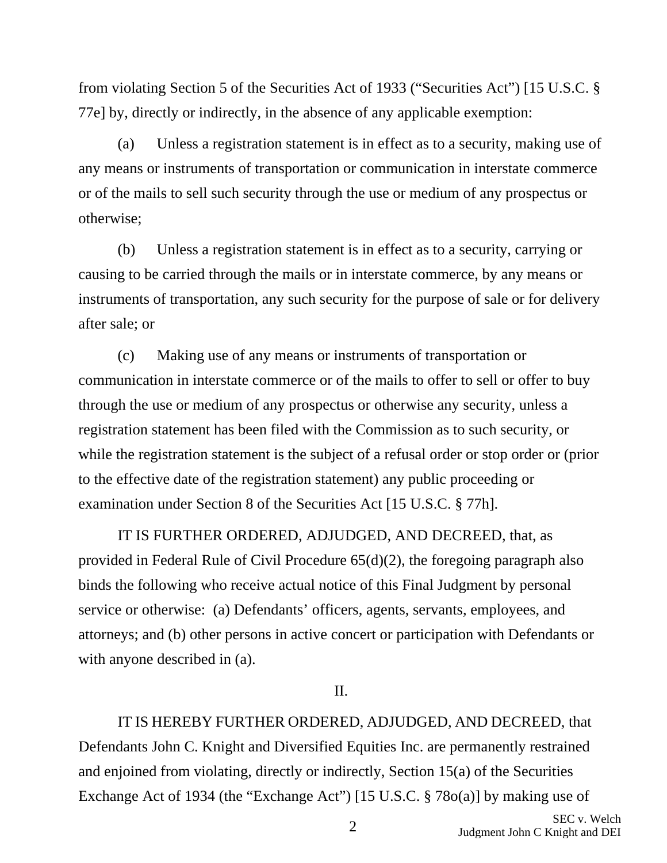from violating Section 5 of the Securities Act of 1933 ("Securities Act") [15 U.S.C. § 77e] by, directly or indirectly, in the absence of any applicable exemption:

 (a) Unless a registration statement is in effect as to a security, making use of any means or instruments of transportation or communication in interstate commerce or of the mails to sell such security through the use or medium of any prospectus or otherwise;

 (b) Unless a registration statement is in effect as to a security, carrying or causing to be carried through the mails or in interstate commerce, by any means or instruments of transportation, any such security for the purpose of sale or for delivery after sale; or

 (c) Making use of any means or instruments of transportation or communication in interstate commerce or of the mails to offer to sell or offer to buy through the use or medium of any prospectus or otherwise any security, unless a registration statement has been filed with the Commission as to such security, or while the registration statement is the subject of a refusal order or stop order or (prior to the effective date of the registration statement) any public proceeding or examination under Section 8 of the Securities Act [15 U.S.C. § 77h].

 IT IS FURTHER ORDERED, ADJUDGED, AND DECREED, that, as provided in Federal Rule of Civil Procedure 65(d)(2), the foregoing paragraph also binds the following who receive actual notice of this Final Judgment by personal service or otherwise: (a) Defendants' officers, agents, servants, employees, and attorneys; and (b) other persons in active concert or participation with Defendants or with anyone described in  $(a)$ .

# II.

 IT IS HEREBY FURTHER ORDERED, ADJUDGED, AND DECREED, that Defendants John C. Knight and Diversified Equities Inc. are permanently restrained and enjoined from violating, directly or indirectly, Section 15(a) of the Securities Exchange Act of 1934 (the "Exchange Act") [15 U.S.C. § 78o(a)] by making use of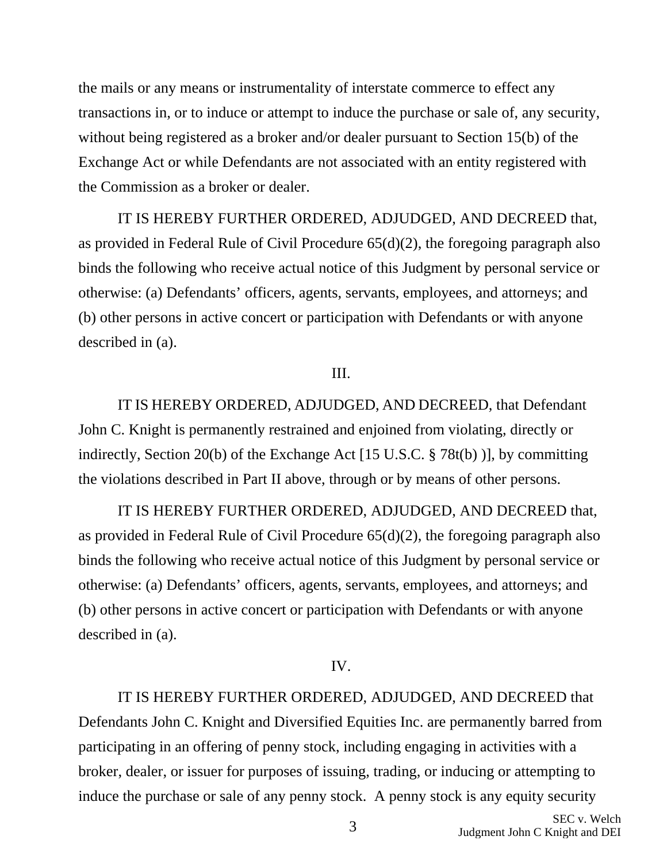the mails or any means or instrumentality of interstate commerce to effect any transactions in, or to induce or attempt to induce the purchase or sale of, any security, without being registered as a broker and/or dealer pursuant to Section 15(b) of the Exchange Act or while Defendants are not associated with an entity registered with the Commission as a broker or dealer.

 IT IS HEREBY FURTHER ORDERED, ADJUDGED, AND DECREED that, as provided in Federal Rule of Civil Procedure 65(d)(2), the foregoing paragraph also binds the following who receive actual notice of this Judgment by personal service or otherwise: (a) Defendants' officers, agents, servants, employees, and attorneys; and (b) other persons in active concert or participation with Defendants or with anyone described in (a).

## III.

 IT IS HEREBY ORDERED, ADJUDGED, AND DECREED, that Defendant John C. Knight is permanently restrained and enjoined from violating, directly or indirectly, Section 20(b) of the Exchange Act [15 U.S.C. § 78t(b) )], by committing the violations described in Part II above, through or by means of other persons.

 IT IS HEREBY FURTHER ORDERED, ADJUDGED, AND DECREED that, as provided in Federal Rule of Civil Procedure 65(d)(2), the foregoing paragraph also binds the following who receive actual notice of this Judgment by personal service or otherwise: (a) Defendants' officers, agents, servants, employees, and attorneys; and (b) other persons in active concert or participation with Defendants or with anyone described in (a).

# IV.

 IT IS HEREBY FURTHER ORDERED, ADJUDGED, AND DECREED that Defendants John C. Knight and Diversified Equities Inc. are permanently barred from participating in an offering of penny stock, including engaging in activities with a broker, dealer, or issuer for purposes of issuing, trading, or inducing or attempting to induce the purchase or sale of any penny stock. A penny stock is any equity security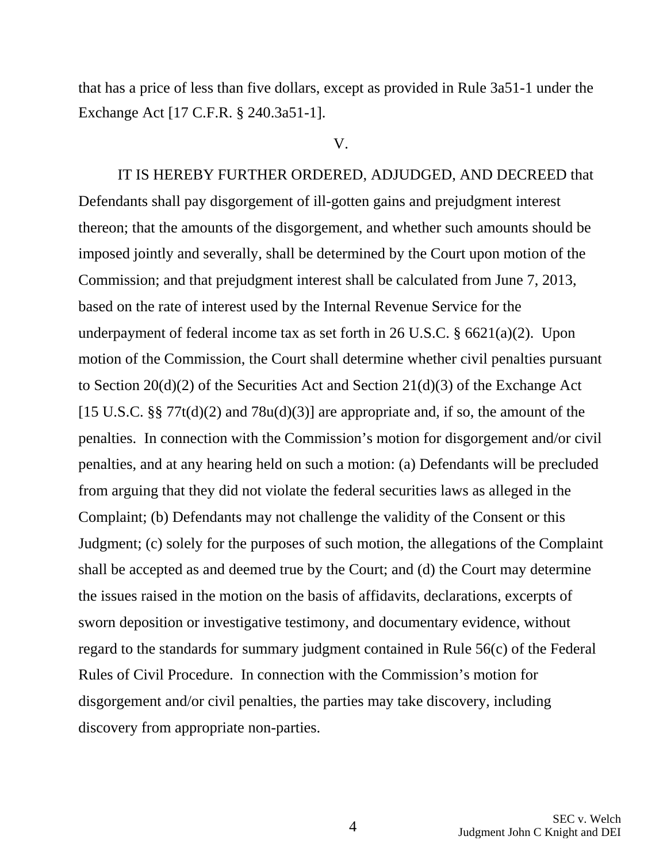that has a price of less than five dollars, except as provided in Rule 3a51-1 under the Exchange Act [17 C.F.R. § 240.3a51-1].

#### V.

IT IS HEREBY FURTHER ORDERED, ADJUDGED, AND DECREED that Defendants shall pay disgorgement of ill-gotten gains and prejudgment interest thereon; that the amounts of the disgorgement, and whether such amounts should be imposed jointly and severally, shall be determined by the Court upon motion of the Commission; and that prejudgment interest shall be calculated from June 7, 2013, based on the rate of interest used by the Internal Revenue Service for the underpayment of federal income tax as set forth in 26 U.S.C. § 6621(a)(2). Upon motion of the Commission, the Court shall determine whether civil penalties pursuant to Section 20(d)(2) of the Securities Act and Section 21(d)(3) of the Exchange Act [15 U.S.C. §§ 77t(d)(2) and 78u(d)(3)] are appropriate and, if so, the amount of the penalties. In connection with the Commission's motion for disgorgement and/or civil penalties, and at any hearing held on such a motion: (a) Defendants will be precluded from arguing that they did not violate the federal securities laws as alleged in the Complaint; (b) Defendants may not challenge the validity of the Consent or this Judgment; (c) solely for the purposes of such motion, the allegations of the Complaint shall be accepted as and deemed true by the Court; and (d) the Court may determine the issues raised in the motion on the basis of affidavits, declarations, excerpts of sworn deposition or investigative testimony, and documentary evidence, without regard to the standards for summary judgment contained in Rule 56(c) of the Federal Rules of Civil Procedure. In connection with the Commission's motion for disgorgement and/or civil penalties, the parties may take discovery, including discovery from appropriate non-parties.